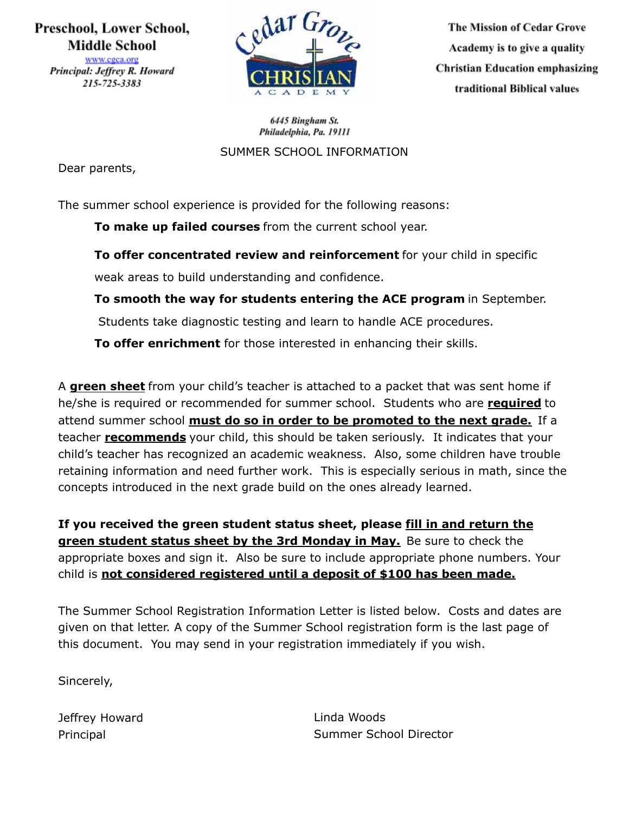# Preschool, Lower School, **Middle School**

www.cgca.org Principal: Jeffrey R. Howard 215-725-3383



**The Mission of Cedar Grove** Academy is to give a quality **Christian Education emphasizing** traditional Biblical values

6445 Bingham St. Philadelphia, Pa. 19111

SUMMER SCHOOL INFORMATION

Dear parents,

The summer school experience is provided for the following reasons:

**To make up failed courses** from the current school year.

**To offer concentrated review and reinforcement** for your child in specific weak areas to build understanding and confidence.

**To smooth the way for students entering the ACE program** in September.

Students take diagnostic testing and learn to handle ACE procedures.

**To offer enrichment** for those interested in enhancing their skills.

A **green sheet** from your child's teacher is attached to a packet that was sent home if he/she is required or recommended for summer school. Students who are **required** to attend summer school **must do so in order to be promoted to the next grade.** If a teacher **recommends** your child, this should be taken seriously. It indicates that your child's teacher has recognized an academic weakness. Also, some children have trouble retaining information and need further work. This is especially serious in math, since the concepts introduced in the next grade build on the ones already learned.

**If you received the green student status sheet, please fill in and return the green student status sheet by the 3rd Monday in May.** Be sure to check the appropriate boxes and sign it. Also be sure to include appropriate phone numbers. Your child is **not considered registered until a deposit of \$100 has been made.**

The Summer School Registration Information Letter is listed below. Costs and dates are given on that letter. A copy of the Summer School registration form is the last page of this document. You may send in your registration immediately if you wish.

Sincerely,

Jeffrey Howard Principal

Linda Woods Summer School Director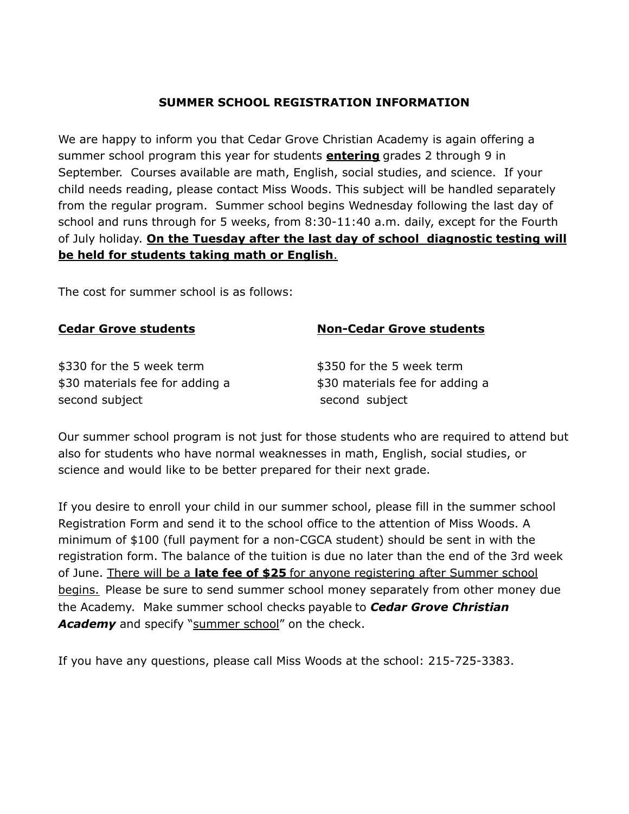#### **SUMMER SCHOOL REGISTRATION INFORMATION**

We are happy to inform you that Cedar Grove Christian Academy is again offering a summer school program this year for students **entering** grades 2 through 9 in September. Courses available are math, English, social studies, and science. If your child needs reading, please contact Miss Woods. This subject will be handled separately from the regular program. Summer school begins Wednesday following the last day of school and runs through for 5 weeks, from 8:30-11:40 a.m. daily, except for the Fourth of July holiday. **On the Tuesday after the last day of school diagnostic testing will be held for students taking math or English**.

The cost for summer school is as follows:

### **Cedar Grove students Non-Cedar Grove students**

\$330 for the 5 week term \$350 for the 5 week term \$30 materials fee for adding a \$30 materials fee for adding a second subject second subject

Our summer school program is not just for those students who are required to attend but also for students who have normal weaknesses in math, English, social studies, or science and would like to be better prepared for their next grade.

If you desire to enroll your child in our summer school, please fill in the summer school Registration Form and send it to the school office to the attention of Miss Woods. A minimum of \$100 (full payment for a non-CGCA student) should be sent in with the registration form. The balance of the tuition is due no later than the end of the 3rd week of June. There will be a **late fee of \$25** for anyone registering after Summer school begins. Please be sure to send summer school money separately from other money due the Academy. Make summer school checks payable to *Cedar Grove Christian* Academy and specify "summer school" on the check.

If you have any questions, please call Miss Woods at the school: 215-725-3383.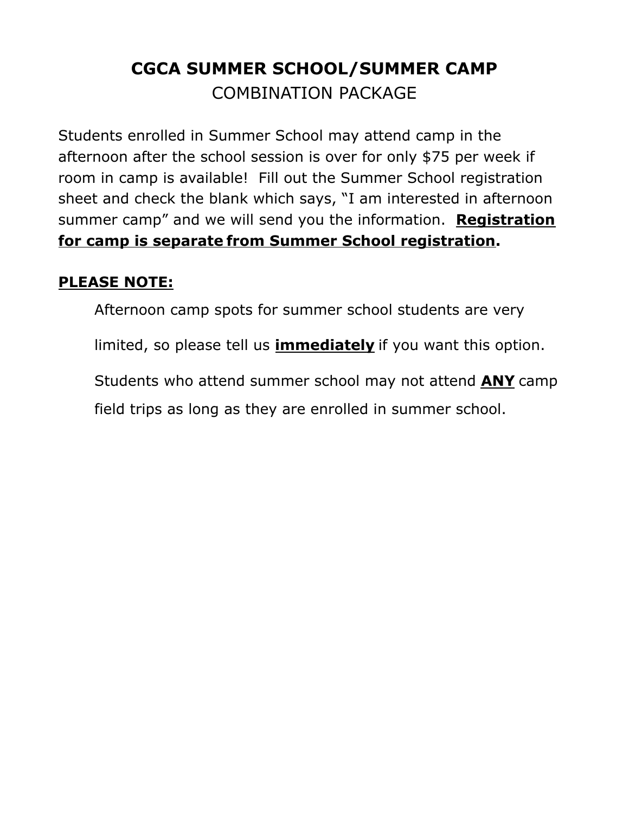# **CGCA SUMMER SCHOOL/SUMMER CAMP** COMBINATION PACKAGE

Students enrolled in Summer School may attend camp in the afternoon after the school session is over for only \$75 per week if room in camp is available! Fill out the Summer School registration sheet and check the blank which says, "I am interested in afternoon summer camp" and we will send you the information. **Registration for camp is separate from Summer School registration.**

# **PLEASE NOTE:**

Afternoon camp spots for summer school students are very

limited, so please tell us **immediately** if you want this option.

Students who attend summer school may not attend **ANY** camp

field trips as long as they are enrolled in summer school.